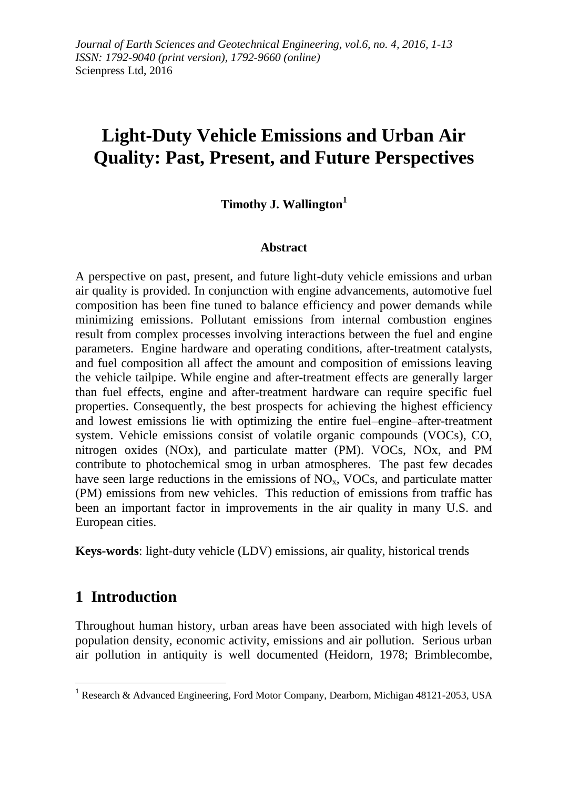# **Light-Duty Vehicle Emissions and Urban Air Quality: Past, Present, and Future Perspectives**

#### **Timothy J. Wallington<sup>1</sup>**

#### **Abstract**

A perspective on past, present, and future light-duty vehicle emissions and urban air quality is provided. In conjunction with engine advancements, automotive fuel composition has been fine tuned to balance efficiency and power demands while minimizing emissions. Pollutant emissions from internal combustion engines result from complex processes involving interactions between the fuel and engine parameters. Engine hardware and operating conditions, after-treatment catalysts, and fuel composition all affect the amount and composition of emissions leaving the vehicle tailpipe. While engine and after-treatment effects are generally larger than fuel effects, engine and after-treatment hardware can require specific fuel properties. Consequently, the best prospects for achieving the highest efficiency and lowest emissions lie with optimizing the entire fuel–engine–after-treatment system. Vehicle emissions consist of volatile organic compounds (VOCs), CO, nitrogen oxides (NOx), and particulate matter (PM). VOCs, NOx, and PM contribute to photochemical smog in urban atmospheres. The past few decades have seen large reductions in the emissions of  $NO<sub>x</sub>$ , VOCs, and particulate matter (PM) emissions from new vehicles. This reduction of emissions from traffic has been an important factor in improvements in the air quality in many U.S. and European cities.

**Keys-words**: light-duty vehicle (LDV) emissions, air quality, historical trends

# **1 Introduction**

 $\overline{\phantom{a}}$ 

Throughout human history, urban areas have been associated with high levels of population density, economic activity, emissions and air pollution. Serious urban air pollution in antiquity is well documented (Heidorn, 1978; Brimblecombe,

<sup>&</sup>lt;sup>1</sup> Research & Advanced Engineering, Ford Motor Company, Dearborn, Michigan 48121-2053, USA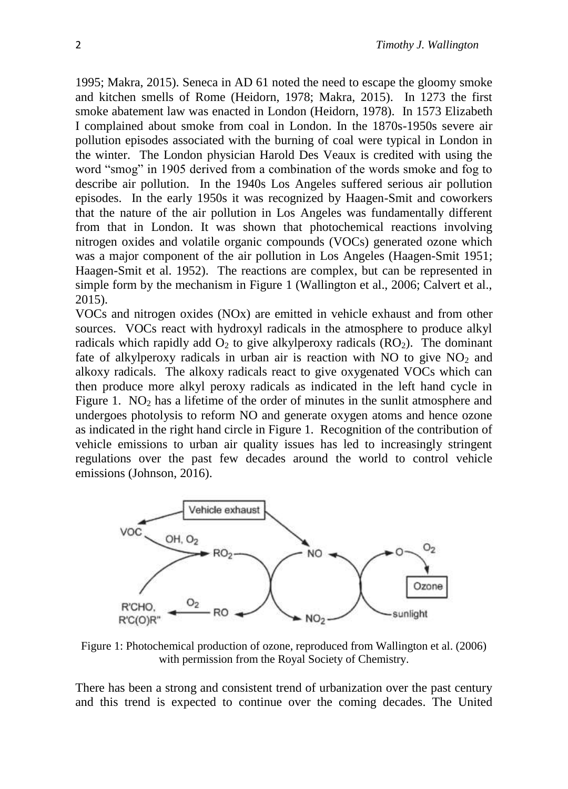1995; Makra, 2015). Seneca in AD 61 noted the need to escape the gloomy smoke and kitchen smells of Rome (Heidorn, 1978; Makra, 2015). In 1273 the first smoke abatement law was enacted in London (Heidorn, 1978). In 1573 Elizabeth I complained about smoke from coal in London. In the 1870s-1950s severe air pollution episodes associated with the burning of coal were typical in London in the winter. The London physician Harold Des Veaux is credited with using the word "smog" in 1905 derived from a combination of the words smoke and fog to describe air pollution. In the 1940s Los Angeles suffered serious air pollution episodes. In the early 1950s it was recognized by Haagen-Smit and coworkers that the nature of the air pollution in Los Angeles was fundamentally different from that in London. It was shown that photochemical reactions involving nitrogen oxides and volatile organic compounds (VOCs) generated ozone which was a major component of the air pollution in Los Angeles (Haagen-Smit 1951; Haagen-Smit et al. 1952). The reactions are complex, but can be represented in simple form by the mechanism in Figure 1 (Wallington et al., 2006; Calvert et al., 2015).

VOCs and nitrogen oxides (NOx) are emitted in vehicle exhaust and from other sources. VOCs react with hydroxyl radicals in the atmosphere to produce alkyl radicals which rapidly add  $O_2$  to give alkylperoxy radicals  $(RO_2)$ . The dominant fate of alkylperoxy radicals in urban air is reaction with NO to give  $NO<sub>2</sub>$  and alkoxy radicals. The alkoxy radicals react to give oxygenated VOCs which can then produce more alkyl peroxy radicals as indicated in the left hand cycle in Figure 1.  $NO<sub>2</sub>$  has a lifetime of the order of minutes in the sunlit atmosphere and undergoes photolysis to reform NO and generate oxygen atoms and hence ozone as indicated in the right hand circle in Figure 1. Recognition of the contribution of vehicle emissions to urban air quality issues has led to increasingly stringent regulations over the past few decades around the world to control vehicle emissions (Johnson, 2016).



Figure 1: Photochemical production of ozone, reproduced from Wallington et al. (2006) with permission from the Royal Society of Chemistry.

There has been a strong and consistent trend of urbanization over the past century and this trend is expected to continue over the coming decades. The United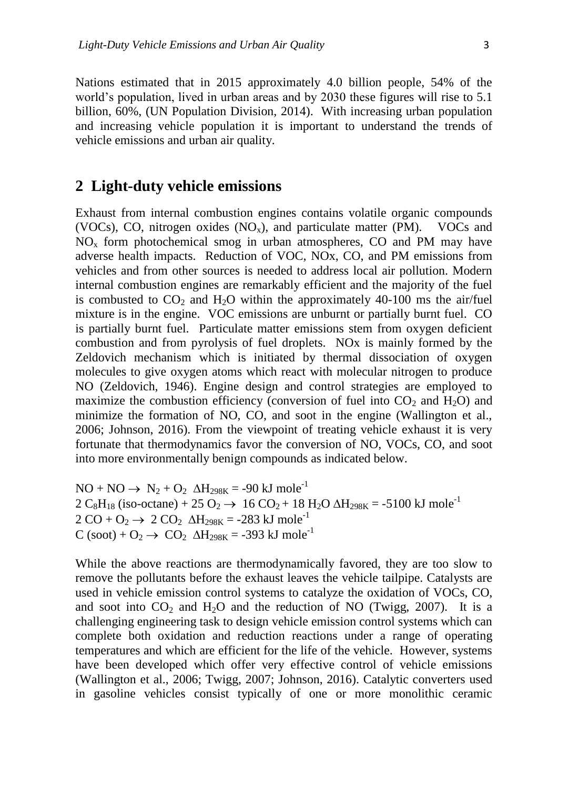Nations estimated that in 2015 approximately 4.0 billion people, 54% of the world's population, lived in urban areas and by 2030 these figures will rise to 5.1 billion, 60%, (UN Population Division, 2014). With increasing urban population and increasing vehicle population it is important to understand the trends of vehicle emissions and urban air quality.

### **2 Light-duty vehicle emissions**

Exhaust from internal combustion engines contains volatile organic compounds (VOCs), CO, nitrogen oxides  $(NO<sub>x</sub>)$ , and particulate matter (PM). VOCs and NO<sup>x</sup> form photochemical smog in urban atmospheres, CO and PM may have adverse health impacts. Reduction of VOC, NOx, CO, and PM emissions from vehicles and from other sources is needed to address local air pollution. Modern internal combustion engines are remarkably efficient and the majority of the fuel is combusted to  $CO<sub>2</sub>$  and  $H<sub>2</sub>O$  within the approximately 40-100 ms the air/fuel mixture is in the engine. VOC emissions are unburnt or partially burnt fuel. CO is partially burnt fuel. Particulate matter emissions stem from oxygen deficient combustion and from pyrolysis of fuel droplets. NOx is mainly formed by the Zeldovich mechanism which is initiated by thermal dissociation of oxygen molecules to give oxygen atoms which react with molecular nitrogen to produce NO (Zeldovich, 1946). Engine design and control strategies are employed to maximize the combustion efficiency (conversion of fuel into  $CO<sub>2</sub>$  and  $H<sub>2</sub>O$ ) and minimize the formation of NO, CO, and soot in the engine (Wallington et al., 2006; Johnson, 2016). From the viewpoint of treating vehicle exhaust it is very fortunate that thermodynamics favor the conversion of NO, VOCs, CO, and soot into more environmentally benign compounds as indicated below.

 $NO + NO \rightarrow N_2 + O_2 \Delta H_{298K} = -90 \text{ kJ mole}^{-1}$ 2 C<sub>8</sub>H<sub>18</sub> (iso-octane) + 25 O<sub>2</sub>  $\rightarrow$  16 CO<sub>2</sub> + 18 H<sub>2</sub>O  $\Delta$ H<sub>298K</sub> = -5100 kJ mole<sup>-1</sup>  $2 CO + O_2 \rightarrow 2 CO_2 \Delta H_{298K} = -283 \text{ kJ mole}^{-1}$  $C$  (soot) +  $O_2 \rightarrow CO_2$   $\Delta H_{298K} = -393$  kJ mole<sup>-1</sup>

While the above reactions are thermodynamically favored, they are too slow to remove the pollutants before the exhaust leaves the vehicle tailpipe. Catalysts are used in vehicle emission control systems to catalyze the oxidation of VOCs, CO, and soot into  $CO_2$  and  $H_2O$  and the reduction of NO (Twigg, 2007). It is a challenging engineering task to design vehicle emission control systems which can complete both oxidation and reduction reactions under a range of operating temperatures and which are efficient for the life of the vehicle. However, systems have been developed which offer very effective control of vehicle emissions (Wallington et al., 2006; Twigg, 2007; Johnson, 2016). Catalytic converters used in gasoline vehicles consist typically of one or more monolithic ceramic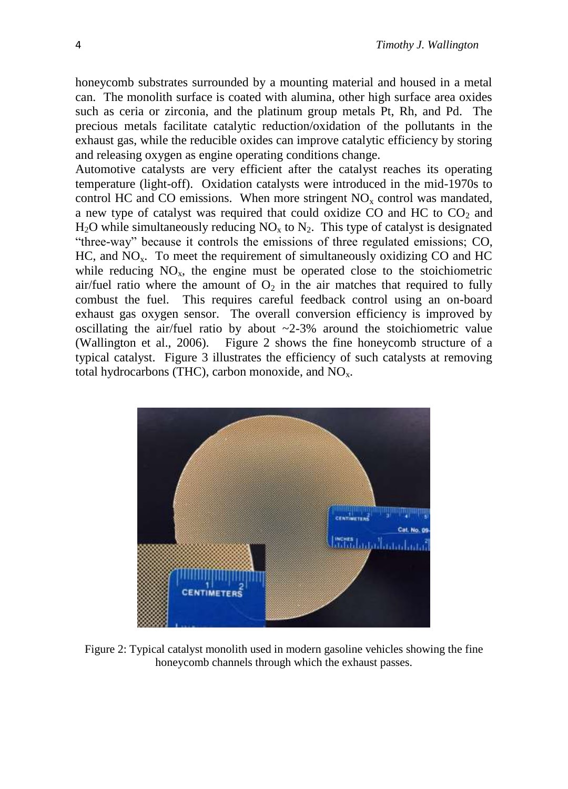honeycomb substrates surrounded by a mounting material and housed in a metal can. The monolith surface is coated with alumina, other high surface area oxides such as ceria or zirconia, and the platinum group metals Pt, Rh, and Pd. The precious metals facilitate catalytic reduction/oxidation of the pollutants in the exhaust gas, while the reducible oxides can improve catalytic efficiency by storing and releasing oxygen as engine operating conditions change.

Automotive catalysts are very efficient after the catalyst reaches its operating temperature (light-off). Oxidation catalysts were introduced in the mid-1970s to control HC and CO emissions. When more stringent  $NO<sub>x</sub>$  control was mandated, a new type of catalyst was required that could oxidize CO and HC to  $CO<sub>2</sub>$  and  $H_2O$  while simultaneously reducing  $NO_x$  to  $N_2$ . This type of catalyst is designated "three-way" because it controls the emissions of three regulated emissions; CO,  $HC$ , and  $NO<sub>x</sub>$ . To meet the requirement of simultaneously oxidizing CO and HC while reducing  $NO<sub>x</sub>$ , the engine must be operated close to the stoichiometric air/fuel ratio where the amount of  $O<sub>2</sub>$  in the air matches that required to fully combust the fuel. This requires careful feedback control using an on-board exhaust gas oxygen sensor. The overall conversion efficiency is improved by oscillating the air/fuel ratio by about  $\approx$  2-3% around the stoichiometric value (Wallington et al., 2006). Figure 2 shows the fine honeycomb structure of a typical catalyst. Figure 3 illustrates the efficiency of such catalysts at removing total hydrocarbons (THC), carbon monoxide, and  $NO<sub>x</sub>$ .



Figure 2: Typical catalyst monolith used in modern gasoline vehicles showing the fine honeycomb channels through which the exhaust passes.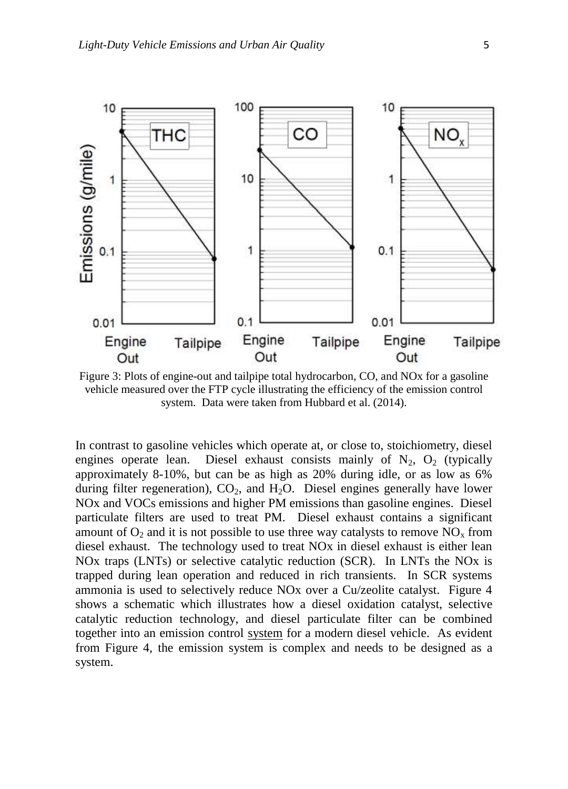

Figure 3: Plots of engine-out and tailpipe total hydrocarbon, CO, and NOx for a gasoline vehicle measured over the FTP cycle illustrating the efficiency of the emission control system. Data were taken from Hubbard et al. (2014).

In contrast to gasoline vehicles which operate at, or close to, stoichiometry, diesel engines operate lean. Diesel exhaust consists mainly of  $N_2$ ,  $O_2$  (typically approximately 8-10%, but can be as high as 20% during idle, or as low as 6% during filter regeneration),  $CO<sub>2</sub>$ , and  $H<sub>2</sub>O$ . Diesel engines generally have lower NOx and VOCs emissions and higher PM emissions than gasoline engines. Diesel particulate filters are used to treat PM. Diesel exhaust contains a significant amount of  $O_2$  and it is not possible to use three way catalysts to remove  $NO<sub>x</sub>$  from diesel exhaust. The technology used to treat NOx in diesel exhaust is either lean NOx traps (LNTs) or selective catalytic reduction (SCR). In LNTs the NOx is trapped during lean operation and reduced in rich transients. In SCR systems ammonia is used to selectively reduce NOx over a Cu/zeolite catalyst. Figure 4 shows a schematic which illustrates how a diesel oxidation catalyst, selective catalytic reduction technology, and diesel particulate filter can be combined together into an emission control system for a modern diesel vehicle. As evident from Figure 4, the emission system is complex and needs to be designed as a system.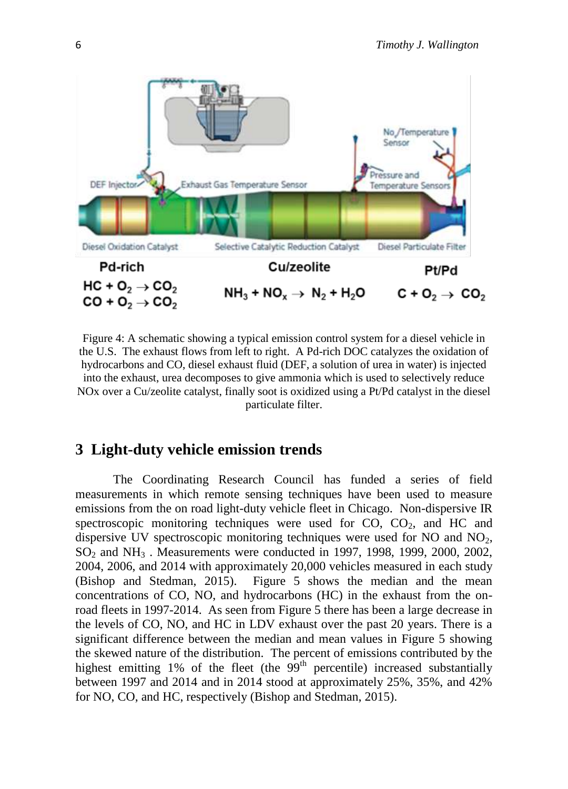

Figure 4: A schematic showing a typical emission control system for a diesel vehicle in the U.S. The exhaust flows from left to right. A Pd-rich DOC catalyzes the oxidation of hydrocarbons and CO, diesel exhaust fluid (DEF, a solution of urea in water) is injected into the exhaust, urea decomposes to give ammonia which is used to selectively reduce NOx over a Cu/zeolite catalyst, finally soot is oxidized using a Pt/Pd catalyst in the diesel particulate filter.

### **3 Light-duty vehicle emission trends**

The Coordinating Research Council has funded a series of field measurements in which remote sensing techniques have been used to measure emissions from the on road light-duty vehicle fleet in Chicago. Non-dispersive IR spectroscopic monitoring techniques were used for  $CO$ ,  $CO<sub>2</sub>$ , and  $HC$  and dispersive UV spectroscopic monitoring techniques were used for NO and  $NO<sub>2</sub>$ , SO<sup>2</sup> and NH<sup>3</sup> . Measurements were conducted in 1997, 1998, 1999, 2000, 2002, 2004, 2006, and 2014 with approximately 20,000 vehicles measured in each study (Bishop and Stedman, 2015). Figure 5 shows the median and the mean concentrations of CO, NO, and hydrocarbons (HC) in the exhaust from the onroad fleets in 1997-2014. As seen from Figure 5 there has been a large decrease in the levels of CO, NO, and HC in LDV exhaust over the past 20 years. There is a significant difference between the median and mean values in Figure 5 showing the skewed nature of the distribution. The percent of emissions contributed by the highest emitting 1% of the fleet (the  $99<sup>th</sup>$  percentile) increased substantially between 1997 and 2014 and in 2014 stood at approximately 25%, 35%, and 42% for NO, CO, and HC, respectively (Bishop and Stedman, 2015).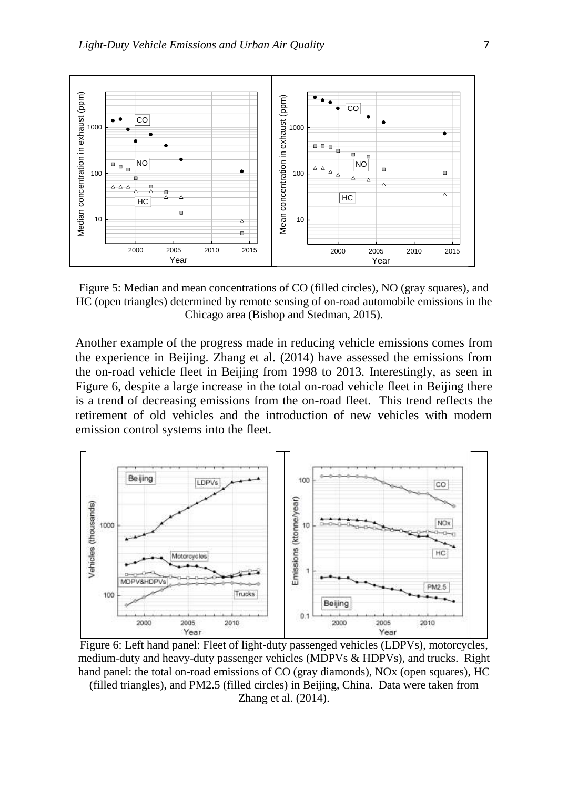

Figure 5: Median and mean concentrations of CO (filled circles), NO (gray squares), and HC (open triangles) determined by remote sensing of on-road automobile emissions in the Chicago area (Bishop and Stedman, 2015).

Another example of the progress made in reducing vehicle emissions comes from the experience in Beijing. Zhang et al. (2014) have assessed the emissions from the on-road vehicle fleet in Beijing from 1998 to 2013. Interestingly, as seen in Figure 6, despite a large increase in the total on-road vehicle fleet in Beijing there is a trend of decreasing emissions from the on-road fleet. This trend reflects the retirement of old vehicles and the introduction of new vehicles with modern emission control systems into the fleet.



Figure 6: Left hand panel: Fleet of light-duty passenged vehicles (LDPVs), motorcycles, medium-duty and heavy-duty passenger vehicles (MDPVs & HDPVs), and trucks. Right hand panel: the total on-road emissions of CO (gray diamonds), NOx (open squares), HC (filled triangles), and PM2.5 (filled circles) in Beijing, China. Data were taken from

Zhang et al. (2014).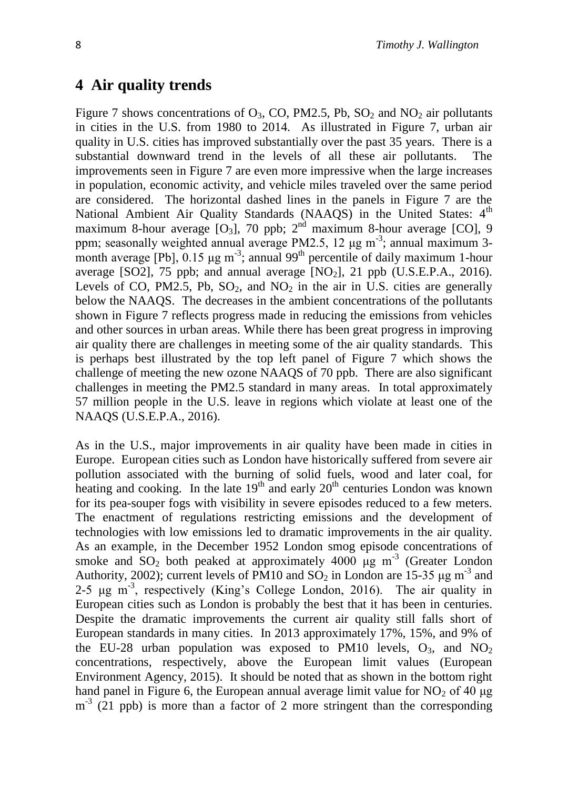### **4 Air quality trends**

Figure 7 shows concentrations of  $O_3$ , CO, PM2.5, Pb, SO<sub>2</sub> and NO<sub>2</sub> air pollutants in cities in the U.S. from 1980 to 2014. As illustrated in Figure 7, urban air quality in U.S. cities has improved substantially over the past 35 years. There is a substantial downward trend in the levels of all these air pollutants. The improvements seen in Figure 7 are even more impressive when the large increases in population, economic activity, and vehicle miles traveled over the same period are considered. The horizontal dashed lines in the panels in Figure 7 are the National Ambient Air Quality Standards (NAAQS) in the United States: 4<sup>th</sup> maximum 8-hour average  $[O_3]$ , 70 ppb;  $2<sup>nd</sup>$  maximum 8-hour average  $[CO]$ , 9 ppm; seasonally weighted annual average PM2.5, 12 μg m<sup>-3</sup>; annual maximum 3month average [Pb],  $0.15 \mu g$  m<sup>-3</sup>; annual 99<sup>th</sup> percentile of daily maximum 1-hour average [SO2], 75 ppb; and annual average  $[NO_2]$ , 21 ppb  $(U.S.E.P.A., 2016)$ . Levels of CO, PM2.5, Pb,  $SO_2$ , and  $NO_2$  in the air in U.S. cities are generally below the NAAQS. The decreases in the ambient concentrations of the pollutants shown in Figure 7 reflects progress made in reducing the emissions from vehicles and other sources in urban areas. While there has been great progress in improving air quality there are challenges in meeting some of the air quality standards. This is perhaps best illustrated by the top left panel of Figure 7 which shows the challenge of meeting the new ozone NAAQS of 70 ppb. There are also significant challenges in meeting the PM2.5 standard in many areas. In total approximately 57 million people in the U.S. leave in regions which violate at least one of the NAAQS (U.S.E.P.A., 2016).

As in the U.S., major improvements in air quality have been made in cities in Europe. European cities such as London have historically suffered from severe air pollution associated with the burning of solid fuels, wood and later coal, for heating and cooking. In the late  $19<sup>th</sup>$  and early  $20<sup>th</sup>$  centuries London was known for its pea-souper fogs with visibility in severe episodes reduced to a few meters. The enactment of regulations restricting emissions and the development of technologies with low emissions led to dramatic improvements in the air quality. As an example, in the December 1952 London smog episode concentrations of smoke and  $SO_2$  both peaked at approximately 4000  $\mu$ g m<sup>-3</sup> (Greater London Authority, 2002); current levels of PM10 and  $SO_2$  in London are 15-35  $\mu$ g m<sup>-3</sup> and 2-5 μg m-3 , respectively (King's College London, 2016). The air quality in European cities such as London is probably the best that it has been in centuries. Despite the dramatic improvements the current air quality still falls short of European standards in many cities. In 2013 approximately 17%, 15%, and 9% of the EU-28 urban population was exposed to PM10 levels,  $O_3$ , and  $NO_2$ concentrations, respectively, above the European limit values (European Environment Agency, 2015). It should be noted that as shown in the bottom right hand panel in Figure 6, the European annual average limit value for  $NO<sub>2</sub>$  of 40  $\mu$ g m<sup>-3</sup> (21 ppb) is more than a factor of 2 more stringent than the corresponding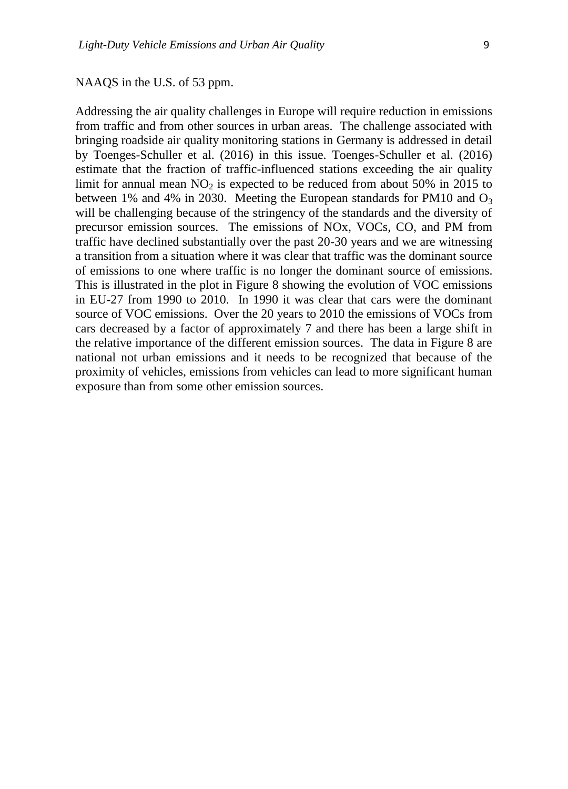NAAQS in the U.S. of 53 ppm.

Addressing the air quality challenges in Europe will require reduction in emissions from traffic and from other sources in urban areas. The challenge associated with bringing roadside air quality monitoring stations in Germany is addressed in detail by Toenges-Schuller et al. (2016) in this issue. Toenges-Schuller et al. (2016) estimate that the fraction of traffic-influenced stations exceeding the air quality limit for annual mean  $NO<sub>2</sub>$  is expected to be reduced from about 50% in 2015 to between 1% and 4% in 2030. Meeting the European standards for PM10 and  $O_3$ will be challenging because of the stringency of the standards and the diversity of precursor emission sources. The emissions of NOx, VOCs, CO, and PM from traffic have declined substantially over the past 20-30 years and we are witnessing a transition from a situation where it was clear that traffic was the dominant source of emissions to one where traffic is no longer the dominant source of emissions. This is illustrated in the plot in Figure 8 showing the evolution of VOC emissions in EU-27 from 1990 to 2010. In 1990 it was clear that cars were the dominant source of VOC emissions. Over the 20 years to 2010 the emissions of VOCs from cars decreased by a factor of approximately 7 and there has been a large shift in the relative importance of the different emission sources. The data in Figure 8 are national not urban emissions and it needs to be recognized that because of the proximity of vehicles, emissions from vehicles can lead to more significant human exposure than from some other emission sources.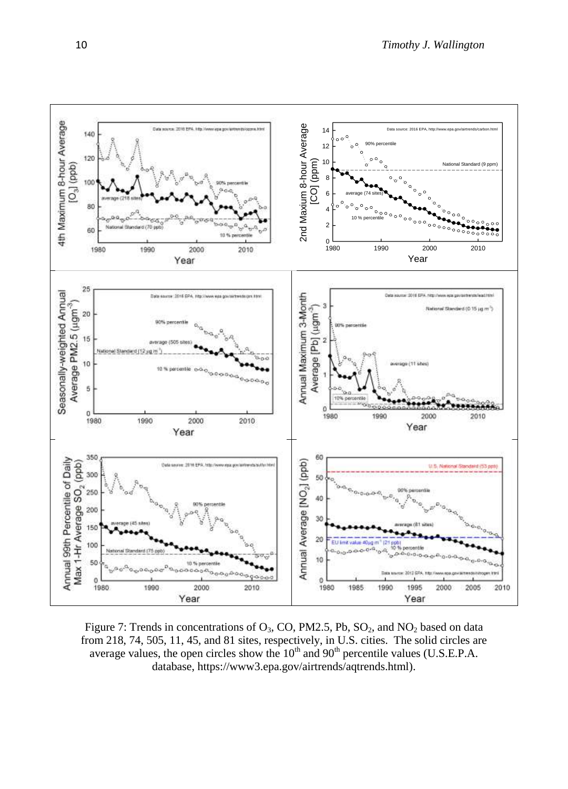

Figure 7: Trends in concentrations of  $O_3$ , CO, PM2.5, Pb,  $SO_2$ , and  $NO_2$  based on data from 218, 74, 505, 11, 45, and 81 sites, respectively, in U.S. cities. The solid circles are average values, the open circles show the  $10^{th}$  and  $90^{th}$  percentile values (U.S.E.P.A. database, https://www3.epa.gov/airtrends/aqtrends.html).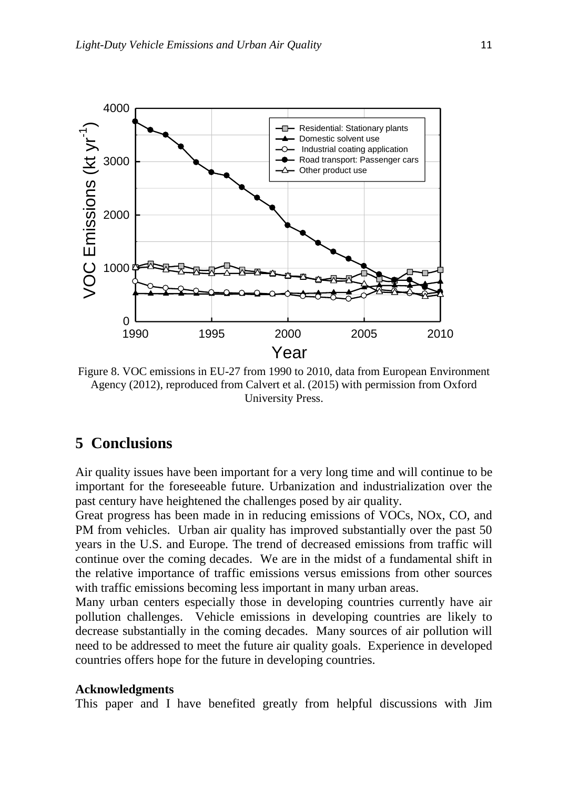

Figure 8. VOC emissions in EU-27 from 1990 to 2010, data from European Environment Agency (2012), reproduced from Calvert et al. (2015) with permission from Oxford University Press.

### **5 Conclusions**

Air quality issues have been important for a very long time and will continue to be important for the foreseeable future. Urbanization and industrialization over the past century have heightened the challenges posed by air quality.

Great progress has been made in in reducing emissions of VOCs, NOx, CO, and PM from vehicles. Urban air quality has improved substantially over the past 50 years in the U.S. and Europe. The trend of decreased emissions from traffic will continue over the coming decades. We are in the midst of a fundamental shift in the relative importance of traffic emissions versus emissions from other sources with traffic emissions becoming less important in many urban areas.

Many urban centers especially those in developing countries currently have air pollution challenges. Vehicle emissions in developing countries are likely to decrease substantially in the coming decades. Many sources of air pollution will need to be addressed to meet the future air quality goals. Experience in developed countries offers hope for the future in developing countries.

#### **Acknowledgments**

This paper and I have benefited greatly from helpful discussions with Jim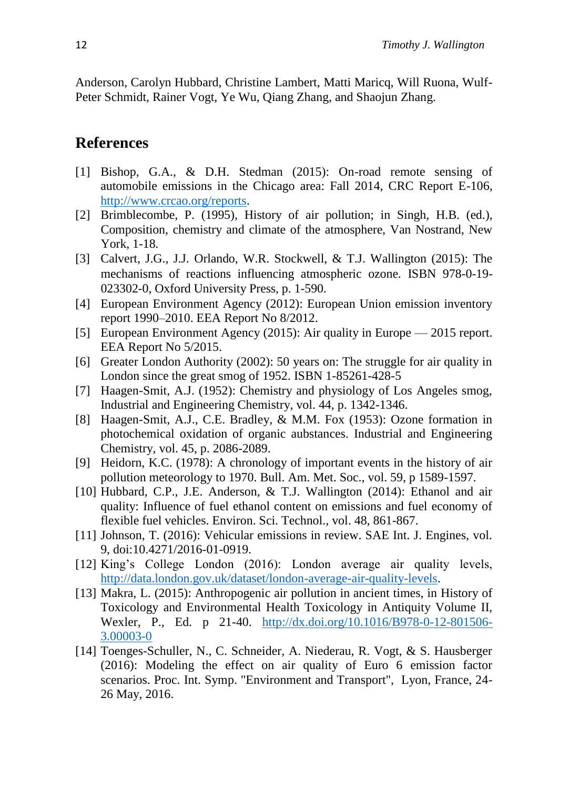Anderson, Carolyn Hubbard, Christine Lambert, Matti Maricq, Will Ruona, Wulf-Peter Schmidt, Rainer Vogt, Ye Wu, Qiang Zhang, and Shaojun Zhang.

## **References**

- [1] Bishop, G.A., & D.H. Stedman (2015): On-road remote sensing of automobile emissions in the Chicago area: Fall 2014, CRC Report E-106, [http://www.crcao.org/reports.](http://www.crcao.org/reports)
- [2] Brimblecombe, P. (1995), History of air pollution; in Singh, H.B. (ed.), Composition, chemistry and climate of the atmosphere, Van Nostrand, New York, 1-18.
- [3] Calvert, J.G., J.J. Orlando, W.R. Stockwell, & T.J. Wallington (2015): The mechanisms of reactions influencing atmospheric ozone. ISBN 978-0-19- 023302-0, Oxford University Press, p. 1-590.
- [4] European Environment Agency (2012): European Union emission inventory report 1990–2010. EEA Report No 8/2012.
- [5] European Environment Agency (2015): Air quality in Europe 2015 report. EEA Report No 5/2015.
- [6] Greater London Authority (2002): 50 years on: The struggle for air quality in London since the great smog of 1952. ISBN 1-85261-428-5
- [7] Haagen-Smit, A.J. (1952): Chemistry and physiology of Los Angeles smog, Industrial and Engineering Chemistry, vol. 44, p. 1342-1346.
- [8] Haagen-Smit, A.J., C.E. Bradley, & M.M. Fox (1953): Ozone formation in photochemical oxidation of organic aubstances. Industrial and Engineering Chemistry, vol. 45, p. 2086-2089.
- [9] Heidorn, K.C. (1978): A chronology of important events in the history of air pollution meteorology to 1970. Bull. Am. Met. Soc., vol. 59, p 1589-1597.
- [10] Hubbard, C.P., J.E. Anderson, & T.J. Wallington (2014): Ethanol and air quality: Influence of fuel ethanol content on emissions and fuel economy of flexible fuel vehicles. Environ. Sci. Technol., vol. 48, 861-867.
- [11] Johnson, T. (2016): Vehicular emissions in review. SAE Int. J. Engines, vol. 9, doi:10.4271/2016-01-0919.
- [12] King's College London (2016): London average air quality levels, [http://data.london.gov.uk/dataset/london-average-air-quality-levels.](http://data.london.gov.uk/dataset/london-average-air-quality-levels)
- [13] Makra, L. (2015): Anthropogenic air pollution in ancient times, in History of Toxicology and Environmental Health Toxicology in Antiquity Volume II, Wexler, P., Ed. p 21-40. [http://dx.doi.org/10.1016/B978-0-12-801506-](http://dx.doi.org/10.1016/B978-0-12-801506-3.00003-0) [3.00003-0](http://dx.doi.org/10.1016/B978-0-12-801506-3.00003-0)
- [14] Toenges-Schuller, N., C. Schneider, A. Niederau, R. Vogt, & S. Hausberger (2016): Modeling the effect on air quality of Euro 6 emission factor scenarios. Proc. Int. Symp. "Environment and Transport", Lyon, France, 24- 26 May, 2016.